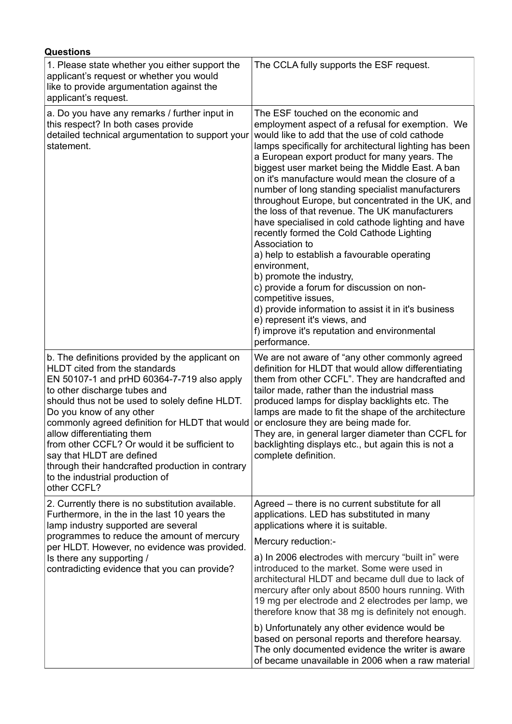| <b>Questions</b>                                                                                                                                                                                                                                                                                                                                                                                                                                                                                                 |                                                                                                                                                                                                                                                                                                                                                                                                                                                                                                                                                                                                                                                                                                                                                                                                                                                                                                                                                                     |
|------------------------------------------------------------------------------------------------------------------------------------------------------------------------------------------------------------------------------------------------------------------------------------------------------------------------------------------------------------------------------------------------------------------------------------------------------------------------------------------------------------------|---------------------------------------------------------------------------------------------------------------------------------------------------------------------------------------------------------------------------------------------------------------------------------------------------------------------------------------------------------------------------------------------------------------------------------------------------------------------------------------------------------------------------------------------------------------------------------------------------------------------------------------------------------------------------------------------------------------------------------------------------------------------------------------------------------------------------------------------------------------------------------------------------------------------------------------------------------------------|
| 1. Please state whether you either support the<br>applicant's request or whether you would<br>like to provide argumentation against the<br>applicant's request.                                                                                                                                                                                                                                                                                                                                                  | The CCLA fully supports the ESF request.                                                                                                                                                                                                                                                                                                                                                                                                                                                                                                                                                                                                                                                                                                                                                                                                                                                                                                                            |
| a. Do you have any remarks / further input in<br>this respect? In both cases provide<br>detailed technical argumentation to support your<br>statement.                                                                                                                                                                                                                                                                                                                                                           | The ESF touched on the economic and<br>employment aspect of a refusal for exemption. We<br>would like to add that the use of cold cathode<br>lamps specifically for architectural lighting has been<br>a European export product for many years. The<br>biggest user market being the Middle East. A ban<br>on it's manufacture would mean the closure of a<br>number of long standing specialist manufacturers<br>throughout Europe, but concentrated in the UK, and<br>the loss of that revenue. The UK manufacturers<br>have specialised in cold cathode lighting and have<br>recently formed the Cold Cathode Lighting<br>Association to<br>a) help to establish a favourable operating<br>environment,<br>b) promote the industry,<br>c) provide a forum for discussion on non-<br>competitive issues,<br>d) provide information to assist it in it's business<br>e) represent it's views, and<br>f) improve it's reputation and environmental<br>performance. |
| b. The definitions provided by the applicant on<br>HLDT cited from the standards<br>EN 50107-1 and prHD 60364-7-719 also apply<br>to other discharge tubes and<br>should thus not be used to solely define HLDT.<br>Do you know of any other<br>commonly agreed definition for HLDT that would<br>allow differentiating them<br>from other CCFL? Or would it be sufficient to<br>say that HLDT are defined<br>through their handcrafted production in contrary<br>to the industrial production of<br>other CCFL? | We are not aware of "any other commonly agreed<br>definition for HLDT that would allow differentiating<br>them from other CCFL". They are handcrafted and<br>tailor made, rather than the industrial mass<br>produced lamps for display backlights etc. The<br>lamps are made to fit the shape of the architecture<br>or enclosure they are being made for.<br>They are, in general larger diameter than CCFL for<br>backlighting displays etc., but again this is not a<br>complete definition.                                                                                                                                                                                                                                                                                                                                                                                                                                                                    |
| 2. Currently there is no substitution available.<br>Furthermore, in the in the last 10 years the<br>lamp industry supported are several<br>programmes to reduce the amount of mercury<br>per HLDT. However, no evidence was provided.<br>Is there any supporting /<br>contradicting evidence that you can provide?                                                                                                                                                                                               | Agreed – there is no current substitute for all<br>applications. LED has substituted in many<br>applications where it is suitable.<br>Mercury reduction:-<br>a) In 2006 electrodes with mercury "built in" were<br>introduced to the market. Some were used in<br>architectural HLDT and became dull due to lack of<br>mercury after only about 8500 hours running. With<br>19 mg per electrode and 2 electrodes per lamp, we<br>therefore know that 38 mg is definitely not enough.<br>b) Unfortunately any other evidence would be<br>based on personal reports and therefore hearsay.                                                                                                                                                                                                                                                                                                                                                                            |
|                                                                                                                                                                                                                                                                                                                                                                                                                                                                                                                  | The only documented evidence the writer is aware<br>of became unavailable in 2006 when a raw material                                                                                                                                                                                                                                                                                                                                                                                                                                                                                                                                                                                                                                                                                                                                                                                                                                                               |